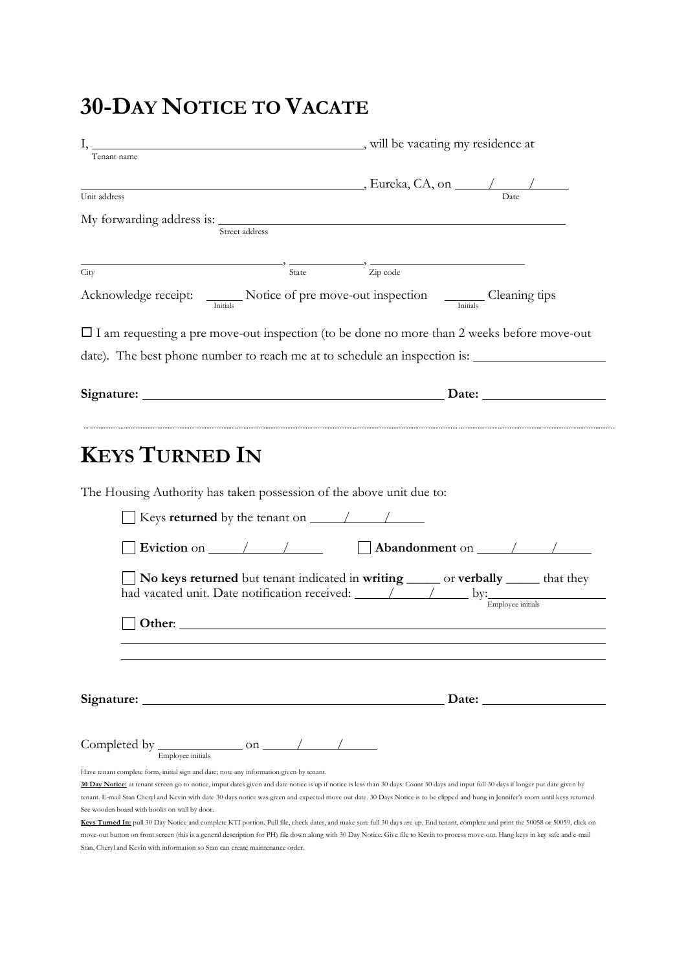# **30-DAY NOTICE TO VACATE**

|                                                                                                                             | will be vacating my residence at                                                                                                                                                                                                                                                                                                                                               |
|-----------------------------------------------------------------------------------------------------------------------------|--------------------------------------------------------------------------------------------------------------------------------------------------------------------------------------------------------------------------------------------------------------------------------------------------------------------------------------------------------------------------------|
| Tenant name                                                                                                                 |                                                                                                                                                                                                                                                                                                                                                                                |
|                                                                                                                             | $\mu$ Eureka, CA, on $\mu$                                                                                                                                                                                                                                                                                                                                                     |
| Unit address                                                                                                                |                                                                                                                                                                                                                                                                                                                                                                                |
|                                                                                                                             |                                                                                                                                                                                                                                                                                                                                                                                |
| Street address                                                                                                              |                                                                                                                                                                                                                                                                                                                                                                                |
|                                                                                                                             |                                                                                                                                                                                                                                                                                                                                                                                |
| $\rightarrow \frac{\ }{State}$<br>City                                                                                      | $\frac{1}{\sqrt{2}}$ $\frac{1}{\sqrt{2}}$ $\frac{1}{\sqrt{2}}$ $\frac{1}{\sqrt{2}}$ $\frac{1}{\sqrt{2}}$ $\frac{1}{\sqrt{2}}$ $\frac{1}{\sqrt{2}}$ $\frac{1}{\sqrt{2}}$ $\frac{1}{\sqrt{2}}$ $\frac{1}{\sqrt{2}}$ $\frac{1}{\sqrt{2}}$ $\frac{1}{\sqrt{2}}$ $\frac{1}{\sqrt{2}}$ $\frac{1}{\sqrt{2}}$ $\frac{1}{\sqrt{2}}$ $\frac{1}{\sqrt{2}}$ $\frac{1}{\sqrt{2}}$           |
|                                                                                                                             | Acknowledge receipt: Motice of pre move-out inspection Cleaning tips                                                                                                                                                                                                                                                                                                           |
|                                                                                                                             | $\Box$ I am requesting a pre move-out inspection (to be done no more than 2 weeks before move-out                                                                                                                                                                                                                                                                              |
|                                                                                                                             |                                                                                                                                                                                                                                                                                                                                                                                |
|                                                                                                                             |                                                                                                                                                                                                                                                                                                                                                                                |
|                                                                                                                             |                                                                                                                                                                                                                                                                                                                                                                                |
|                                                                                                                             | Signature: Date: Date:                                                                                                                                                                                                                                                                                                                                                         |
|                                                                                                                             |                                                                                                                                                                                                                                                                                                                                                                                |
| The Housing Authority has taken possession of the above unit due to:<br>Keys returned by the tenant on $\frac{\sqrt{2}}{2}$ |                                                                                                                                                                                                                                                                                                                                                                                |
|                                                                                                                             | Eviction on $\sqrt{2\pi}$ Abandonment on $\sqrt{2\pi}$                                                                                                                                                                                                                                                                                                                         |
|                                                                                                                             |                                                                                                                                                                                                                                                                                                                                                                                |
|                                                                                                                             |                                                                                                                                                                                                                                                                                                                                                                                |
|                                                                                                                             | No keys returned but tenant indicated in writing ______ or verbally ______ that they                                                                                                                                                                                                                                                                                           |
|                                                                                                                             |                                                                                                                                                                                                                                                                                                                                                                                |
|                                                                                                                             |                                                                                                                                                                                                                                                                                                                                                                                |
| Other: $\_\_$                                                                                                               |                                                                                                                                                                                                                                                                                                                                                                                |
|                                                                                                                             |                                                                                                                                                                                                                                                                                                                                                                                |
|                                                                                                                             |                                                                                                                                                                                                                                                                                                                                                                                |
|                                                                                                                             |                                                                                                                                                                                                                                                                                                                                                                                |
|                                                                                                                             | Date: $\qquad \qquad$                                                                                                                                                                                                                                                                                                                                                          |
|                                                                                                                             |                                                                                                                                                                                                                                                                                                                                                                                |
| Signature:                                                                                                                  |                                                                                                                                                                                                                                                                                                                                                                                |
| Have tenant complete form, initial sign and date; note any information given by tenant.                                     |                                                                                                                                                                                                                                                                                                                                                                                |
|                                                                                                                             | 30 Day Notice: at tenant screen go to notice, imput dates given and date notice is up if notice is less than 30 days. Count 30 days and input full 30 days if longer put date given by<br>tenant. E-mail Stan Cheryl and Kevin with date 30 days notice was given and expected move out date. 30 Days Notice is to be clipped and hung in Jennifer's room until keys returned. |

**Keys Turned In:** pull 30 Day Notice and complete KTI portion. Pull file, check dates, and make sure full 30 days are up. End tenant, complete and print the 50058 or 50059, click on move-out button on front screen (this is a general description for PH) file down along with 30 Day Notice. Give file to Kevin to process move-out. Hang keys in key safe and e-mail Stan, Cheryl and Kevin with information so Stan can create maintenance order.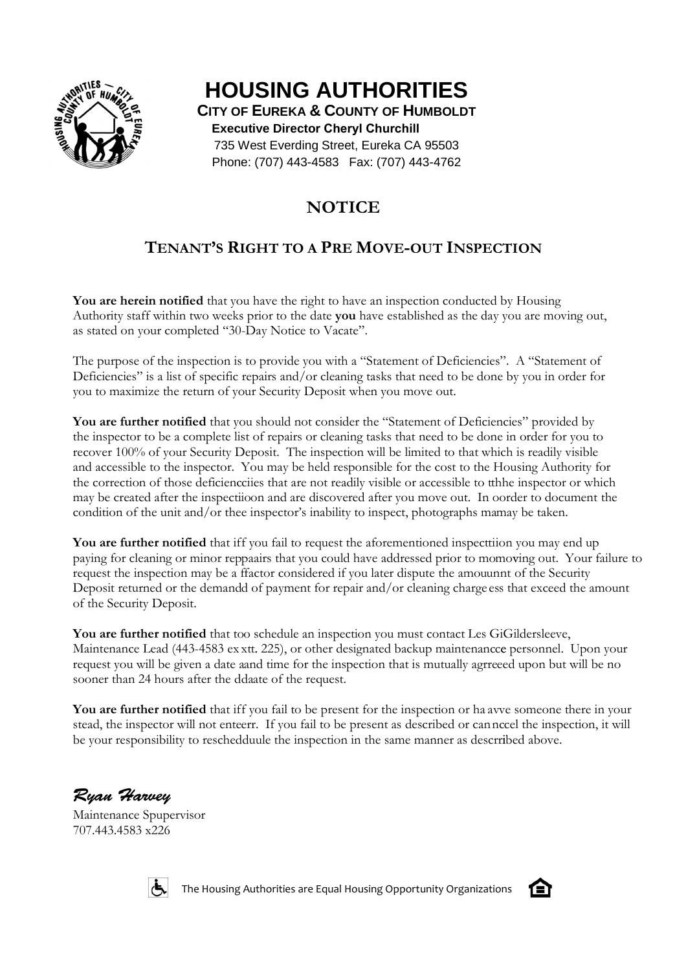

# **HOUSING AUTHORITIES**

**CITY OF EUREKA & COUNTY OF HUMBOLDT Executive Director Cheryl Churchill** 735 West Everding Street, Eureka CA 95503 West Phone: (707) 443-4583 Fax: (707) 443-4762

# **NOTICE**

# **TENANT'S RIGHT TO A PRE MOVE-OUT INSPECTION**

You are herein notified that you have the right to have an inspection conducted by Housing Authority staff within two weeks prior to the date you have established as the day you are moving out, as stated on your completed "30-Day Notice to Vacate".

The purpose of the inspection is to provide you with a "Statement of Deficiencies". A "Statement of Deficiencies" is a list of specific repairs and/or cleaning tasks that need to be done by you in order for you to maximize the return of your Security Deposit when you move out. you with a "Statement of Def<br>'or cleaning tasks that need to<br>Deposit when you move out.

**You are further notified** that you should not consider the "Statement of Deficiencies" provided by the inspector to be a complete list of repairs or cleaning tasks that need to be done in order for you to You are further notified that you should not consider the "Statement of Deficiencies" provided by the inspector to be a complete list of repairs or cleaning tasks that need to be done in order for you to recover 100% of yo and accessible to the inspector. You may be held responsible for the cost to the Housing Authority for the correction of those deficiencciies that are not readily visible or accessible to tthhe inspector or which may be created after the inspectiioon and are discovered after you move out. In oorder to document the condition of the unit and/or thee inspector's inability to inspect, photographs mamay be taken. Deficiencies". A "Statement of<br>d to be done by you in order for<br>out.<br>t of Deficiencies" provided by<br>d to be done in order for you to<br>d to that which is readily visible<br>cost to the Housing Authority for<br>essible to tthhe ins

You are further notified that iff you fail to request the aforementioned inspecttiion you may end up paying for cleaning or minor reppaairs that you could have addressed prior to momoving out. Your failure to request the inspection may be a ffactor considered if you later dispute the amouunnt of the Security Deposit returned or the demandd of payment for repair and/or cleaning charge ess that exceed the amount may be created after the inspectiioon and are discovered after you move out. In oorder to document th<br>condition of the unit and/or thee inspector's inability to inspect, photographs mamay be taken.<br>**You are further notifie** of the Security Deposit.

You are further notified that too schedule an inspection you must contact Les GiGildersleeve, Maintenance Lead (443-4583 ex xtt. 225), or other designated backup maintenancce personnel. Upon your request you will be given a date aand time for the inspection that is mutually agrreeed upon but will be no sooner than 24 hours after the ddaate of the request.

You are further notified that iff you fail to be present for the inspection or ha avve someone there in your<br>stead, the inspector will not enteerr. If you fail to be present as described or can nccel the inspection, it wil stead, the inspector will not enteerr. If you fail to be present as described or cannccel the inspection, it will be your responsibility to reschedduule the inspection in the same manner as descrribed above.

Ryan Harvey

Maintenance Spupervisor 707.443.4583 x226



The Housing Authorities are Equal Housing Opportunity Organizations

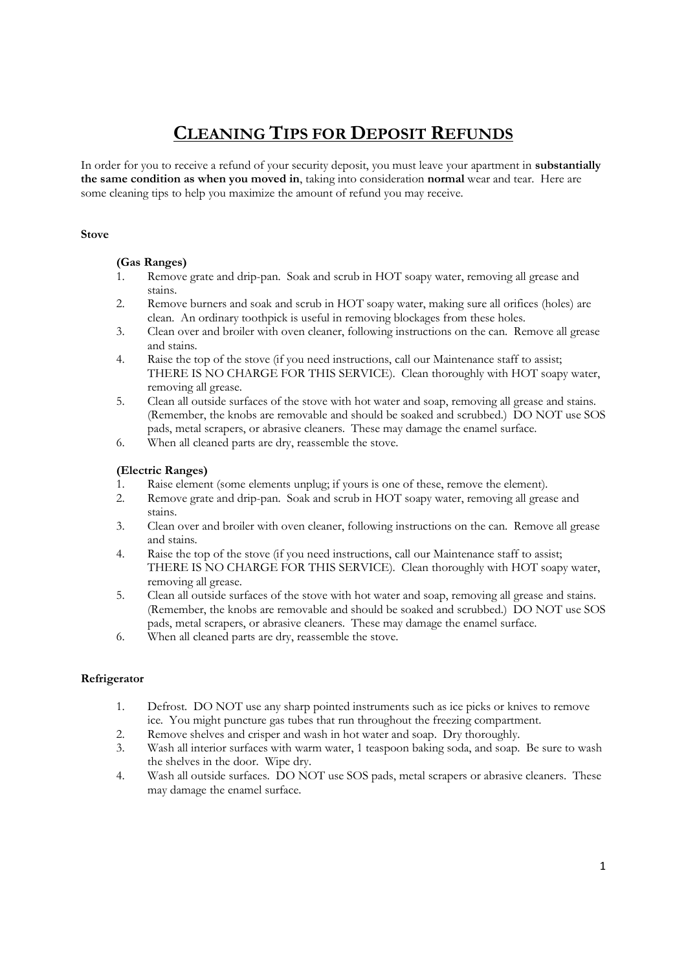# **CLEANING TIPS FOR DEPOSIT REFUNDS**

In order for you to receive a refund of your security deposit, you must leave your apartment in **substantially the same condition as when you moved in**, taking into consideration **normal** wear and tear. Here are some cleaning tips to help you maximize the amount of refund you may receive.

### **Stove**

# **(Gas Ranges)**

- 1. Remove grate and drip-pan. Soak and scrub in HOT soapy water, removing all grease and stains.
- 2. Remove burners and soak and scrub in HOT soapy water, making sure all orifices (holes) are clean. An ordinary toothpick is useful in removing blockages from these holes.
- 3. Clean over and broiler with oven cleaner, following instructions on the can. Remove all grease and stains.
- 4. Raise the top of the stove (if you need instructions, call our Maintenance staff to assist; THERE IS NO CHARGE FOR THIS SERVICE). Clean thoroughly with HOT soapy water, removing all grease.
- 5. Clean all outside surfaces of the stove with hot water and soap, removing all grease and stains. (Remember, the knobs are removable and should be soaked and scrubbed.) DO NOT use SOS pads, metal scrapers, or abrasive cleaners. These may damage the enamel surface.
- 6. When all cleaned parts are dry, reassemble the stove.

# **(Electric Ranges)**

- 1. Raise element (some elements unplug; if yours is one of these, remove the element).
- 2. Remove grate and drip-pan. Soak and scrub in HOT soapy water, removing all grease and stains.
- 3. Clean over and broiler with oven cleaner, following instructions on the can. Remove all grease and stains.
- 4. Raise the top of the stove (if you need instructions, call our Maintenance staff to assist; THERE IS NO CHARGE FOR THIS SERVICE). Clean thoroughly with HOT soapy water, removing all grease.
- 5. Clean all outside surfaces of the stove with hot water and soap, removing all grease and stains. (Remember, the knobs are removable and should be soaked and scrubbed.) DO NOT use SOS pads, metal scrapers, or abrasive cleaners. These may damage the enamel surface.
- 6. When all cleaned parts are dry, reassemble the stove.

# **Refrigerator**

- 1. Defrost. DO NOT use any sharp pointed instruments such as ice picks or knives to remove ice. You might puncture gas tubes that run throughout the freezing compartment.
- 2. Remove shelves and crisper and wash in hot water and soap. Dry thoroughly.
- 3. Wash all interior surfaces with warm water, 1 teaspoon baking soda, and soap. Be sure to wash the shelves in the door. Wipe dry.
- 4. Wash all outside surfaces. DO NOT use SOS pads, metal scrapers or abrasive cleaners. These may damage the enamel surface.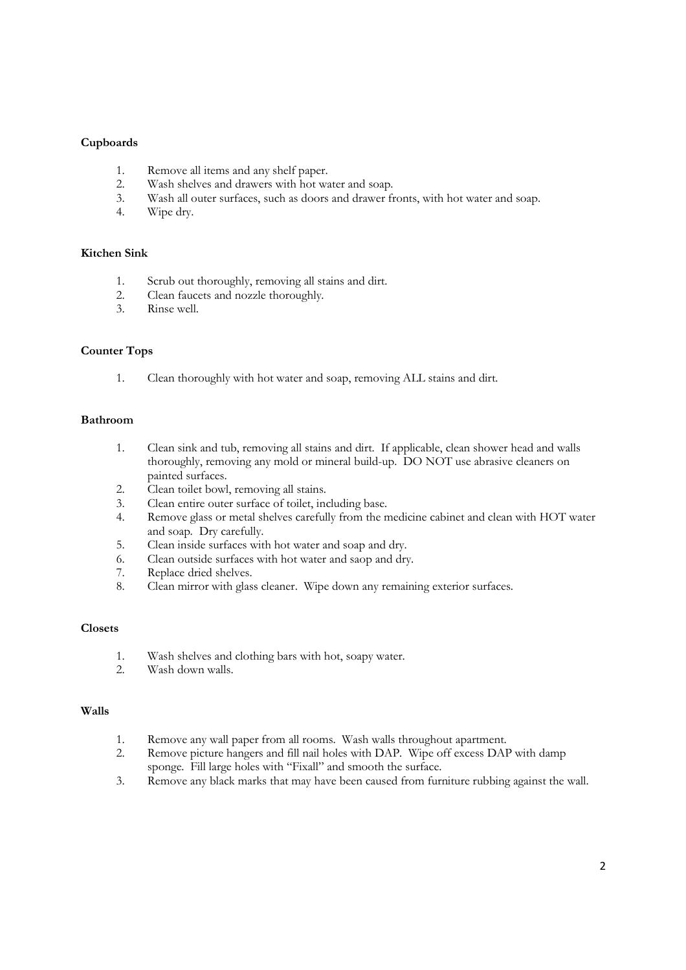# **Cupboards**

- 1. Remove all items and any shelf paper.
- 2. Wash shelves and drawers with hot water and soap.
- 3. Wash all outer surfaces, such as doors and drawer fronts, with hot water and soap.
- 4. Wipe dry.

#### **Kitchen Sink**

- 1. Scrub out thoroughly, removing all stains and dirt.
- 2. Clean faucets and nozzle thoroughly.<br>3. Rinse well.
- 3. Rinse well.

# **Counter Tops**

1. Clean thoroughly with hot water and soap, removing ALL stains and dirt.

#### **Bathroom**

- 1. Clean sink and tub, removing all stains and dirt. If applicable, clean shower head and walls thoroughly, removing any mold or mineral build-up. DO NOT use abrasive cleaners on painted surfaces.
- 2. Clean toilet bowl, removing all stains.
- 3. Clean entire outer surface of toilet, including base.
- 4. Remove glass or metal shelves carefully from the medicine cabinet and clean with HOT water and soap. Dry carefully.
- 5. Clean inside surfaces with hot water and soap and dry.
- 6. Clean outside surfaces with hot water and saop and dry.
- 7. Replace dried shelves.
- 8. Clean mirror with glass cleaner. Wipe down any remaining exterior surfaces.

#### **Closets**

- 1. Wash shelves and clothing bars with hot, soapy water.
- 2. Wash down walls.

### **Walls**

- 1. Remove any wall paper from all rooms. Wash walls throughout apartment.
- 2. Remove picture hangers and fill nail holes with DAP. Wipe off excess DAP with damp sponge. Fill large holes with "Fixall" and smooth the surface.
- 3. Remove any black marks that may have been caused from furniture rubbing against the wall.